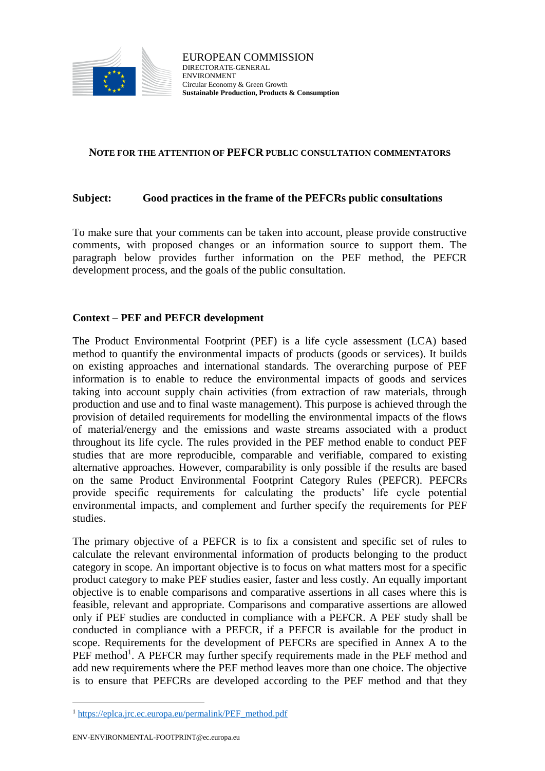

## **NOTE FOR THE ATTENTION OF PEFCR PUBLIC CONSULTATION COMMENTATORS**

## **Subject: Good practices in the frame of the PEFCRs public consultations**

To make sure that your comments can be taken into account, please provide constructive comments, with proposed changes or an information source to support them. The paragraph below provides further information on the PEF method, the PEFCR development process, and the goals of the public consultation.

## **Context – PEF and PEFCR development**

The Product Environmental Footprint (PEF) is a life cycle assessment (LCA) based method to quantify the environmental impacts of products (goods or services). It builds on existing approaches and international standards. The overarching purpose of PEF information is to enable to reduce the environmental impacts of goods and services taking into account supply chain activities (from extraction of raw materials, through production and use and to final waste management). This purpose is achieved through the provision of detailed requirements for modelling the environmental impacts of the flows of material/energy and the emissions and waste streams associated with a product throughout its life cycle. The rules provided in the PEF method enable to conduct PEF studies that are more reproducible, comparable and verifiable, compared to existing alternative approaches. However, comparability is only possible if the results are based on the same Product Environmental Footprint Category Rules (PEFCR). PEFCRs provide specific requirements for calculating the products' life cycle potential environmental impacts, and complement and further specify the requirements for PEF studies.

The primary objective of a PEFCR is to fix a consistent and specific set of rules to calculate the relevant environmental information of products belonging to the product category in scope. An important objective is to focus on what matters most for a specific product category to make PEF studies easier, faster and less costly. An equally important objective is to enable comparisons and comparative assertions in all cases where this is feasible, relevant and appropriate. Comparisons and comparative assertions are allowed only if PEF studies are conducted in compliance with a PEFCR. A PEF study shall be conducted in compliance with a PEFCR, if a PEFCR is available for the product in scope. Requirements for the development of PEFCRs are specified in Annex A to the PEF method<sup>1</sup>. A PEFCR may further specify requirements made in the PEF method and add new requirements where the PEF method leaves more than one choice. The objective is to ensure that PEFCRs are developed according to the PEF method and that they

 $\overline{a}$ 

<sup>&</sup>lt;sup>1</sup> [https://eplca.jrc.ec.europa.eu/permalink/PEF\\_method.pdf](https://eplca.jrc.ec.europa.eu/permalink/PEF_method.pdf)